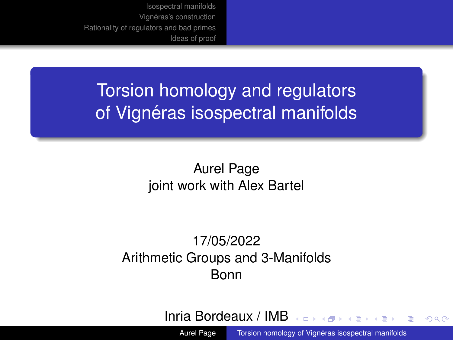<span id="page-0-0"></span>Torsion homology and regulators of Vignéras isospectral manifolds

> Aurel Page joint work with Alex Bartel

17/05/2022 Arithmetic Groups and 3-Manifolds Bonn

Inria Bordeaux / IMB

Aurel Page Torsion homology of Vignéras isospectral manifolds

 $2990$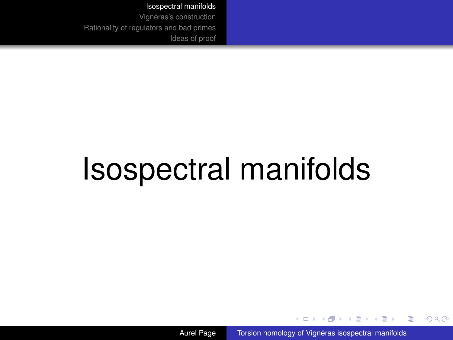<span id="page-1-0"></span>Vignéras's construction [Rationality of regulators and bad primes](#page-13-0) [Ideas of proof](#page-21-0)

# Isospectral manifolds

Aurel Page Torsion homology of Vignéras isospectral manifolds

 $(1 - 1)$   $(1 - 1)$   $(1 - 1)$   $(1 - 1)$   $(1 - 1)$   $(1 - 1)$   $(1 - 1)$ 

 $2990$ 

ă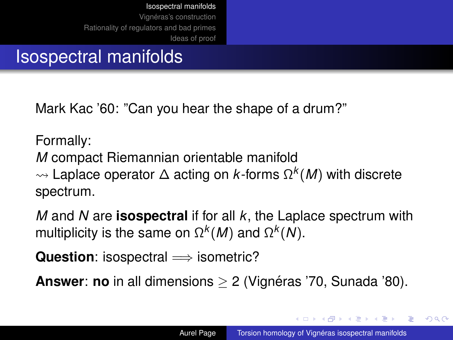Vignéras's construction [Rationality of regulators and bad primes](#page-13-0) [Ideas of proof](#page-21-0)

## Isospectral manifolds

Mark Kac '60: "Can you hear the shape of a drum?"

Formally:

*M* compact Riemannian orientable manifold

 Laplace operator ∆ acting on *k*-forms Ω *k* (*M*) with discrete spectrum.

*M* and *N* are **isospectral** if for all *k*, the Laplace spectrum with multiplicity is the same on  $Ω<sup>k</sup>(M)$  and  $Ω<sup>k</sup>(N)$ .

**Question**: isospectral ⇒ isometric?

**Answer: no** in all dimensions > 2 (Vignéras '70, Sunada '80).

イロメ イ押 メイヨメ イヨメ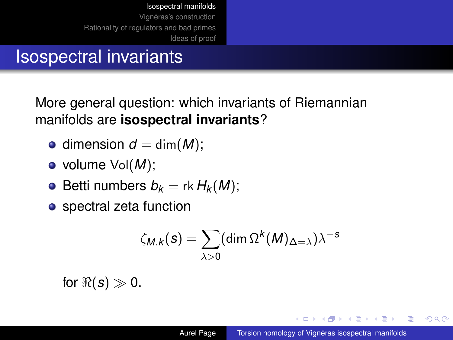## Isospectral invariants

More general question: which invariants of Riemannian manifolds are **isospectral invariants**?

- $\bullet$  dimension  $d = \dim(M)$ ;
- volume Vol(*M*);
- Betti numbers  $b_k = \text{rk } H_k(M)$ ;
- spectral zeta function

$$
\zeta_{M,k}(\mathbf{s}) = \sum_{\lambda>0} (\dim \Omega^k(M)_{\Delta=\lambda}) \lambda^{-s}
$$

for  $\Re(s) \gg 0$ .

イロメ イ押 メイヨメ イヨメ

ă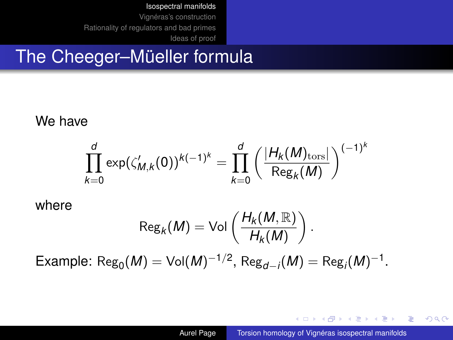Vignéras's construction [Rationality of regulators and bad primes](#page-13-0) [Ideas of proof](#page-21-0)

## The Cheeger–Müeller formula

We have

$$
\prod_{k=0}^{d} \exp(\zeta'_{M,k}(0))^{k(-1)^k} = \prod_{k=0}^{d} \left( \frac{|H_k(M)_{\rm tors}|}{\text{Reg}_k(M)} \right)^{(-1)^k}
$$

where

$$
\operatorname{Reg}_k(M) = \operatorname{Vol}\left(\frac{H_k(M, \mathbb{R})}{H_k(M)}\right).
$$

 $\mathsf{Example:}~\mathsf{Reg}_{0}(M) = \mathsf{Vol}(M)^{-1/2},~\mathsf{Reg}_{d-i}(M) = \mathsf{Reg}_{i}(M)^{-1}.$ 

イロト イ押 トイヨ トイヨ トー

D.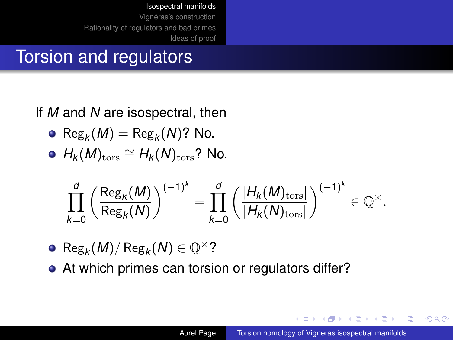Vignéras's construction [Rationality of regulators and bad primes](#page-13-0) [Ideas of proof](#page-21-0)

## Torsion and regulators

### If *M* and *N* are isospectral, then

• 
$$
\text{Reg}_k(M) = \text{Reg}_k(N)
$$
? No.

• 
$$
H_k(M)_{\text{tors}} \cong H_k(N)_{\text{tors}}
$$
? No.

$$
\prod_{k=0}^d\left(\frac{\text{Reg}_k(M)}{\text{Reg}_k(N)}\right)^{(-1)^k}=\prod_{k=0}^d\left(\frac{|H_k(M)_{\text{tors}}|}{|H_k(N)_{\text{tors}}|}\right)^{(-1)^k}\in\mathbb{Q}^\times.
$$

• 
$$
\text{Reg}_k(M) / \text{Reg}_k(N) \in \mathbb{Q}^{\times}
$$
?

• At which primes can torsion or regulators differ?

**≮ロト ⊀ 何 ト ⊀ ヨ ト ⊀ ヨ ト** 

G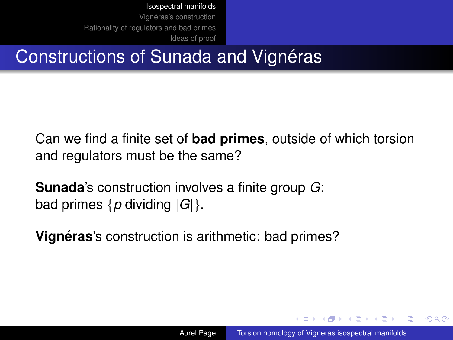Vignéras's construction [Rationality of regulators and bad primes](#page-13-0) [Ideas of proof](#page-21-0)

## Constructions of Sunada and Vignéras

Can we find a finite set of **bad primes**, outside of which torsion and regulators must be the same?

**Sunada**'s construction involves a finite group *G*: bad primes {*p* dividing |*G*|}.

**Vignéras**'s construction is arithmetic: bad primes?

K ロ ⊁ K 何 ≯ K ヨ ⊁ K ヨ ⊁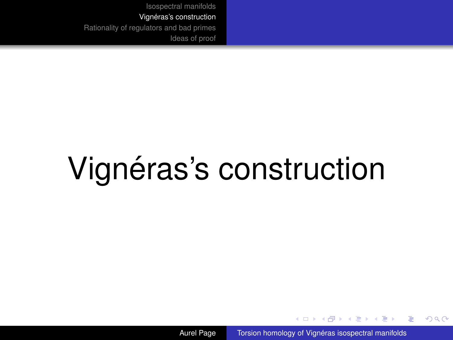# <span id="page-7-0"></span>Vignéras's construction

Aurel Page Torsion homology of Vignéras isospectral manifolds

(ロ) (伊)

医电影 美国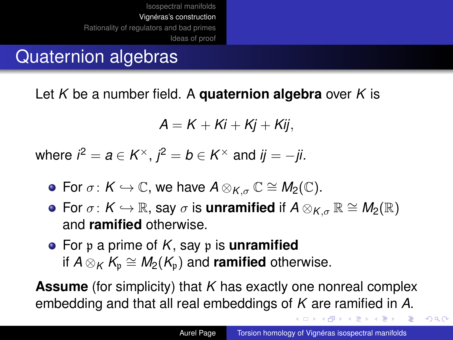## Quaternion algebras

Let *K* be a number field. A **quaternion algebra** over *K* is

$$
A=K+Ki+Kj+Kij,
$$

where  $i^2 = a \in K^\times$  ,  $j^2 = b \in K^\times$  and  $ij = -ji$ .

- **•** For  $\sigma: K \hookrightarrow \mathbb{C}$ , we have  $A \otimes_{K_{\sigma}} \mathbb{C} \cong M_2(\mathbb{C})$ .
- **•** For  $\sigma: K \hookrightarrow \mathbb{R}$ , say  $\sigma$  is **unramified** if  $A \otimes_{K_{\sigma}} \mathbb{R} \cong M_2(\mathbb{R})$ and **ramified** otherwise.
- For p a prime of *K*, say p is **unramified** if  $A \otimes_K K_\mathfrak{p} \cong M_2(K_\mathfrak{p})$  and **ramified** otherwise.

**Assume** (for simplicity) that *K* has exactly one nonreal complex embedding and that all real embeddings of *K* are ramified in *A*.

 $\left\{ \bigoplus_{i=1}^{n} x_i \in \mathbb{R} \right\} \times \left\{ \bigoplus_{i=1}^{n} x_i \in \mathbb{R} \right\}$ 

 $2990$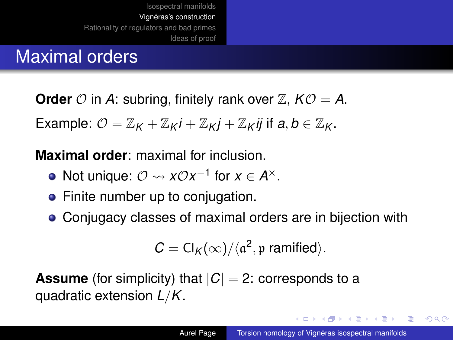## Maximal orders

**Order**  $\mathcal{O}$  in A: subring, finitely rank over  $\mathbb{Z}$ ,  $K\mathcal{O} = A$ .

Example:  $\mathcal{O} = \mathbb{Z}_{K} + \mathbb{Z}_{K}i + \mathbb{Z}_{K}i + \mathbb{Z}_{K}i$  if  $a, b \in \mathbb{Z}_{K}$ .

**Maximal order**: maximal for inclusion.

- Not unique:  $\mathcal{O} \rightsquigarrow x \mathcal{O} x^{-1}$  for  $x \in A^{\times}$ .
- Finite number up to conjugation.
- Conjugacy classes of maximal orders are in bijection with

$$
C = Cl_K(\infty)/\langle \mathfrak{a}^2, \mathfrak{p} \text{ ramified}\rangle.
$$

**Assume** (for simplicity) that  $|C| = 2$ : corresponds to a quadratic extension *L*/*K*.

**K ロ ▶ K 何 ▶ K ヨ ▶ K ヨ ▶** 

画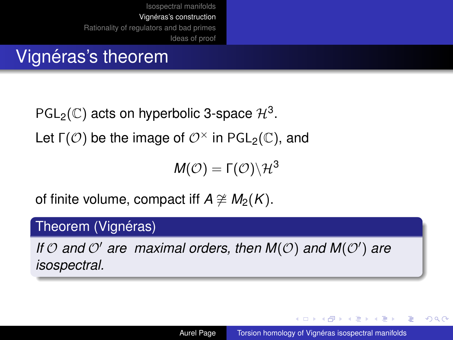## Vignéras's theorem

PGL<sub>2</sub>( $\mathbb{C}$ ) acts on hyperbolic 3-space  $\mathcal{H}^3$ .

Let  $\Gamma(\mathcal{O})$  be the image of  $\mathcal{O}^{\times}$  in PGL<sub>2</sub>(C), and

 $M(\mathcal{O}) = \Gamma(\mathcal{O}) \backslash \mathcal{H}^3$ 

of finite volume, compact iff  $A \not\cong M_2(K)$ .

#### Theorem (Vignéras)

If  $O$  and  $O'$  are maximal orders, then  $M(O)$  and  $M(O')$  are *isospectral.*

イロメ イ押 メイヨメ イヨメ

B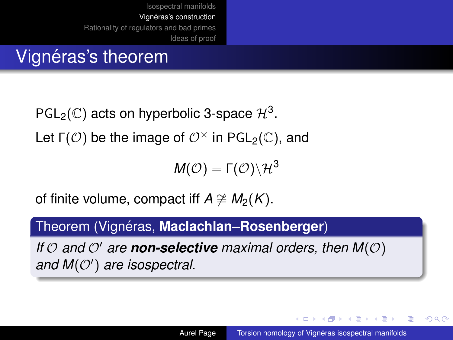## Vignéras's theorem

PGL<sub>2</sub>(C) acts on hyperbolic 3-space  $\mathcal{H}^3$ .

Let  $\Gamma(\mathcal{O})$  be the image of  $\mathcal{O}^{\times}$  in PGL<sub>2</sub>(C), and

 $M(\mathcal{O}) = \Gamma(\mathcal{O}) \backslash \mathcal{H}^3$ 

of finite volume, compact iff *A*  $\cong$  *M*<sub>2</sub>(*K*).

### Theorem (Vignéras, **Maclachlan–Rosenberger**)

*If*  $\mathcal{O}$  *and*  $\mathcal{O}'$  *are* **non-selective** *maximal orders, then*  $M(\mathcal{O})$ and  $M(\mathcal{O}')$  are isospectral.

イロメ イ押 メイヨメ イヨメ

Þ  $QQ$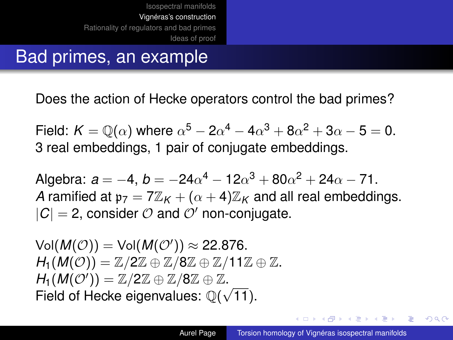## Bad primes, an example

Does the action of Hecke operators control the bad primes?

Field:  $K=\mathbb{Q}(\alpha)$  where  $\alpha^5-2\alpha^4-4\alpha^3+8\alpha^2+3\alpha-5=0.$ 3 real embeddings, 1 pair of conjugate embeddings.

Algebra:  $a = -4$ ,  $b = -24\alpha^4 - 12\alpha^3 + 80\alpha^2 + 24\alpha - 71$ . *A* ramified at  $p_7 = 7\mathbb{Z}_K + (\alpha + 4)\mathbb{Z}_K$  and all real embeddings.  $|C| = 2$ , consider  $\mathcal O$  and  $\mathcal O'$  non-conjugate.

 $\mathsf{Vol}(M(\mathcal{O})) = \mathsf{Vol}(M(\mathcal{O}')) \approx 22.876.$  $H_1(M(\mathcal{O}))=\mathbb{Z}/2\mathbb{Z}\oplus\mathbb{Z}/8\mathbb{Z}\oplus\mathbb{Z}/11\mathbb{Z}\oplus\mathbb{Z}.$  $H_1(M(\mathcal{O}')) = \mathbb{Z}/2\mathbb{Z} \oplus \mathbb{Z}/8\mathbb{Z} \oplus \mathbb{Z}.$ Field of Hecke eigenvalues:  $\mathbb{Q}(\sqrt{11})$ .

→ 重 → → 重 →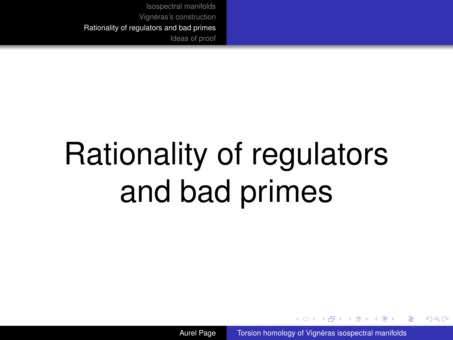# <span id="page-13-0"></span>Rationality of regulators and bad primes

Aurel Page Torsion homology of Vignéras isospectral manifolds

4 0 8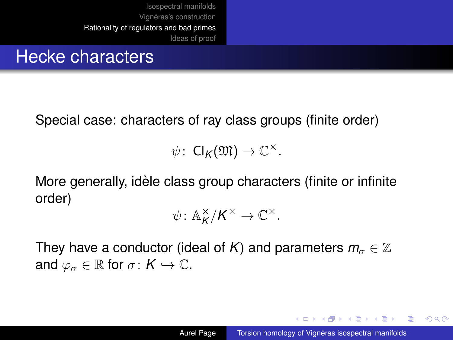## Hecke characters

Special case: characters of ray class groups (finite order)

 $\psi: \; \mathsf{Cl}_{\mathsf{K}}(\mathfrak{M}) \to \mathbb{C}^\times.$ 

More generally, idèle class group characters (finite or infinite  $\overline{a}$ order)

$$
\psi\colon \mathbb{A}_{\mathsf{K}}^{\times}/\mathsf{K}^{\times}\to \mathbb{C}^{\times}.
$$

They have a conductor (ideal of *K*) and parameters  $m_{\sigma} \in \mathbb{Z}$ and  $\varphi_{\sigma} \in \mathbb{R}$  for  $\sigma: K \hookrightarrow \mathbb{C}$ .

イロン イ押ン イヨン イヨン 一重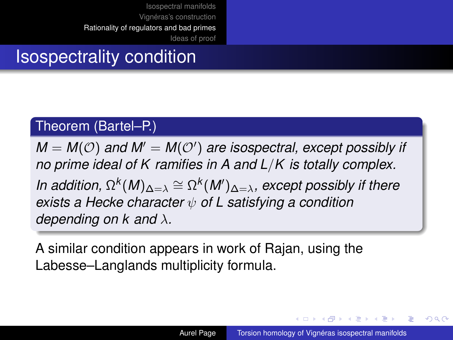## Isospectrality condition

#### Theorem (Bartel–P.)

 $M = M(\mathcal{O})$  and  $M' = M(\mathcal{O}')$  are isospectral, except possibly if *no prime ideal of K ramifies in A and L*/*K is totally complex. In addition,*  $\Omega^k(M)_{\Delta=\lambda} \cong \Omega^k(M')_{\Delta=\lambda}$ , except possibly if there *exists a Hecke character* ψ *of L satisfying a condition depending on k and* λ*.*

A similar condition appears in work of Rajan, using the Labesse–Langlands multiplicity formula.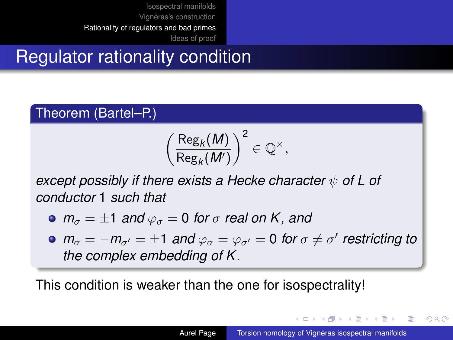## Regulator rationality condition

#### Theorem (Bartel–P.)

$$
\left(\frac{\text{Reg}_k(M)}{\text{Reg}_k(M')}\right)^2\in\mathbb{Q}^\times,
$$

*except possibly if there exists a Hecke character*  $ψ$  *of* L *of conductor* 1 *such that*

• 
$$
m_{\sigma} = \pm 1
$$
 and  $\varphi_{\sigma} = 0$  for  $\sigma$  real on K, and

 $m_{\sigma} = -m_{\sigma'} = \pm 1$  *and*  $\varphi_{\sigma} = \varphi_{\sigma'} = 0$  *for*  $\sigma \neq \sigma'$  restricting to *the complex embedding of K .*

This condition is weaker than the one for isospectrality!

イロト イ押 トイヨ トイヨト

E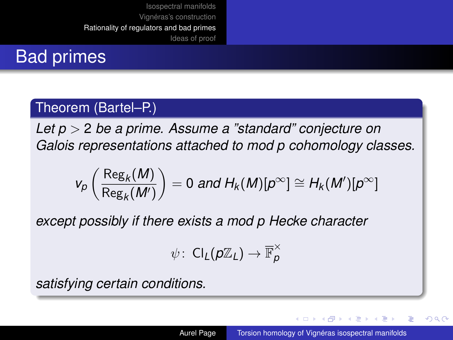## Bad primes

### Theorem (Bartel–P.)

*Let p* > 2 *be a prime. Assume a "standard" conjecture on Galois representations attached to mod p cohomology classes.*

$$
v_p\left(\frac{\text{Reg}_k(M)}{\text{Reg}_k(M')}\right) = 0 \text{ and } H_k(M)[p^{\infty}] \cong H_k(M')[p^{\infty}]
$$

*except possibly if there exists a mod p Hecke character*

$$
\psi\colon\operatorname{Cl}_{L}(p\mathbb{Z}_{L})\to\overline{\mathbb{F}}_{p}^{\times}
$$

*satisfying certain conditions.*

K ロ ⊁ K 伊 ⊁ K ヨ ⊁ K ヨ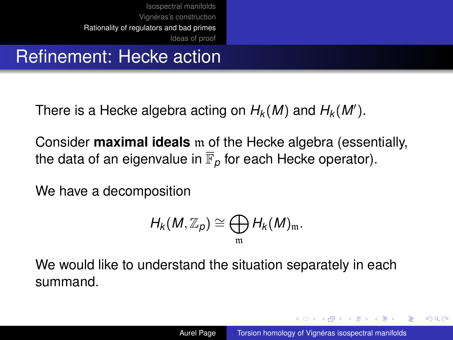## Refinement: Hecke action

There is a Hecke algebra acting on  $H_k(M)$  and  $H_k(M')$ .

Consider **maximal ideals** m of the Hecke algebra (essentially, the data of an eigenvalue in  $\overline{\mathbb{F}}_p$  for each Hecke operator).

We have a decomposition

$$
H_k(M,\mathbb{Z}_p)\cong \bigoplus_{\mathfrak{m}} H_k(M)_{\mathfrak{m}}.
$$

We would like to understand the situation separately in each summand.

K ロ ⊁ K 何 ≯ K ヨ ⊁ K ヨ ⊁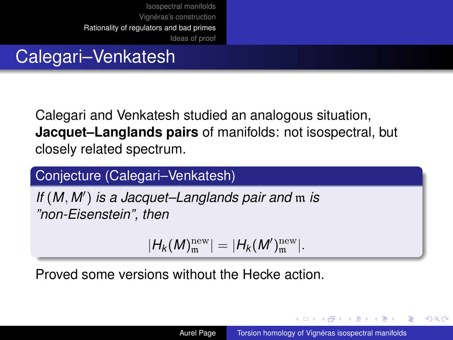## Calegari–Venkatesh

Calegari and Venkatesh studied an analogous situation, **Jacquet–Langlands pairs** of manifolds: not isospectral, but closely related spectrum.

### Conjecture (Calegari–Venkatesh)

*If* (*M*, *M*<sup>0</sup> ) *is a Jacquet–Langlands pair and* m *is "non-Eisenstein", then*

$$
|H_k(M)^{\rm new}_\mathfrak{m}|=|H_k(M')^{\rm new}_\mathfrak{m}|.
$$

Proved some versions without the Hecke action.

K ロ ⊁ K 何 ≯ K ヨ ⊁ K ヨ ⊁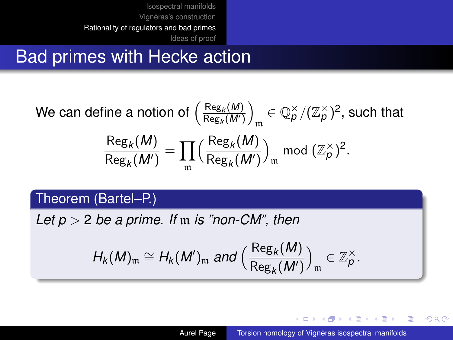## Bad primes with Hecke action

We can define a notion of 
$$
\left(\frac{\text{Reg}_k(M)}{\text{Reg}_k(M')}\right)_\mathfrak{m} \in \mathbb{Q}_p^\times / (\mathbb{Z}_p^\times)^2
$$
, such that 
$$
\frac{\text{Reg}_k(M)}{\text{Reg}_k(M')} = \prod_{\mathfrak{m}} \left(\frac{\text{Reg}_k(M)}{\text{Reg}_k(M')}\right)_\mathfrak{m} \text{mod } (\mathbb{Z}_p^\times)^2.
$$

### Theorem (Bartel–P.)

*Let p* > 2 *be a prime. If* m *is "non-CM", then*

$$
H_k(M)_{\mathfrak{m}} \cong H_k(M')_{\mathfrak{m}} \text{ and } \left(\frac{\text{Reg}_k(M)}{\text{Reg}_k(M')}\right)_{\mathfrak{m}} \in \mathbb{Z}_p^{\times}.
$$

K ロ ⊁ K 何 ≯ K ヨ ⊁ K ヨ ⊁

G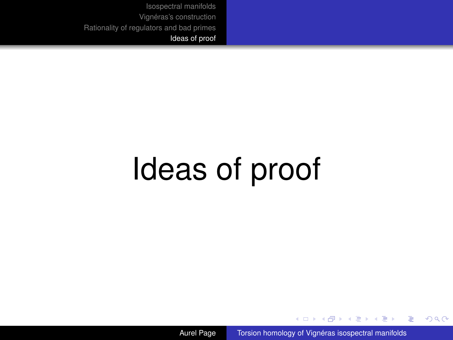# <span id="page-21-0"></span>Ideas of proof

Aurel Page Torsion homology of Vignéras isospectral manifolds

**Kロト K伊 ト** 

- 4 周 8 3 4 周

 $299$ 

ă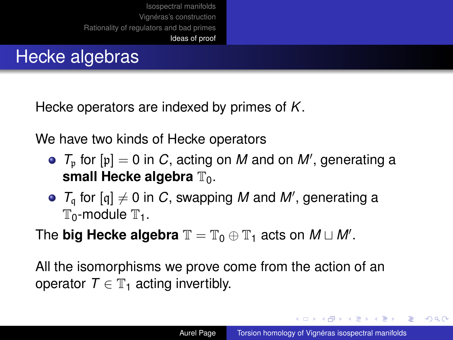## Hecke algebras

Hecke operators are indexed by primes of *K*.

We have two kinds of Hecke operators

- $T_{\rm p}$  for  ${\rm [p]}=0$  in *C*, acting on *M* and on *M'*, generating a **small Hecke algebra**  $\mathbb{T}_0$ .
- $T_q$  for  $[q] \neq 0$  in *C*, swapping *M* and *M'*, generating a  $\mathbb{T}_0$ -module  $\mathbb{T}_1$ .

The **big Hecke algebra**  $\mathbb{T} = \mathbb{T}_0 \oplus \mathbb{T}_1$  acts on  $M \sqcup M'$ .

All the isomorphisms we prove come from the action of an operator  $T \in \mathbb{T}_1$  acting invertibly.

 $4$  ロ }  $4$   $6$  }  $4$   $\pm$  }  $4$   $\pm$  }

画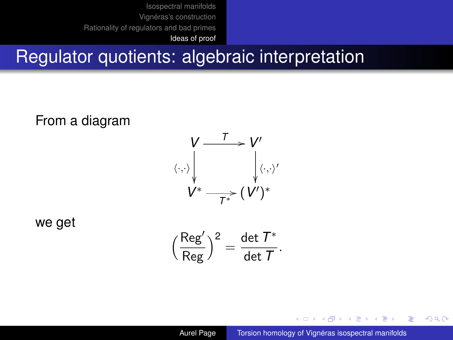[Ideas of proof](#page-21-0)

## Regulator quotients: algebraic interpretation

From a diagram



we get

$$
\Big(\frac{\text{Reg}'}{\text{Reg}}\Big)^2 = \frac{\det\, T^*}{\det\, T}.
$$

4 ロ ) (何 ) (日 ) (日 )

B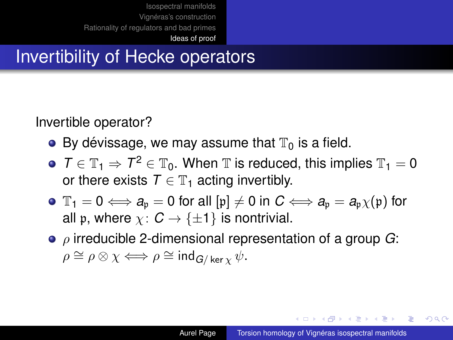## Invertibility of Hecke operators

Invertible operator?

- By dévissage, we may assume that  $\mathbb{T}_0$  is a field.
- $T \in \mathbb{T}_1 \Rightarrow T^2 \in \mathbb{T}_0$ . When  $\mathbb{T}$  is reduced, this implies  $\mathbb{T}_1 = 0$ or there exists  $T \in \mathbb{T}_1$  acting invertibly.
- $\bullet$   $\mathbb{T}_1 = 0 \Longleftrightarrow a_{\mathfrak{p}} = 0$  for all  $[\mathfrak{p}] \neq 0$  in  $C \Longleftrightarrow a_{\mathfrak{p}} = a_{\mathfrak{p}} \chi(\mathfrak{p})$  for all p, where  $\chi: \mathcal{C} \to \{\pm 1\}$  is nontrivial.
- ρ irreducible 2-dimensional representation of a group *G*:  $\rho \cong \rho \otimes \chi \Longleftrightarrow \rho \cong \text{ind}_{G/\ker \chi} \psi.$

イロト イ押 トイヨ トイヨ トー

画